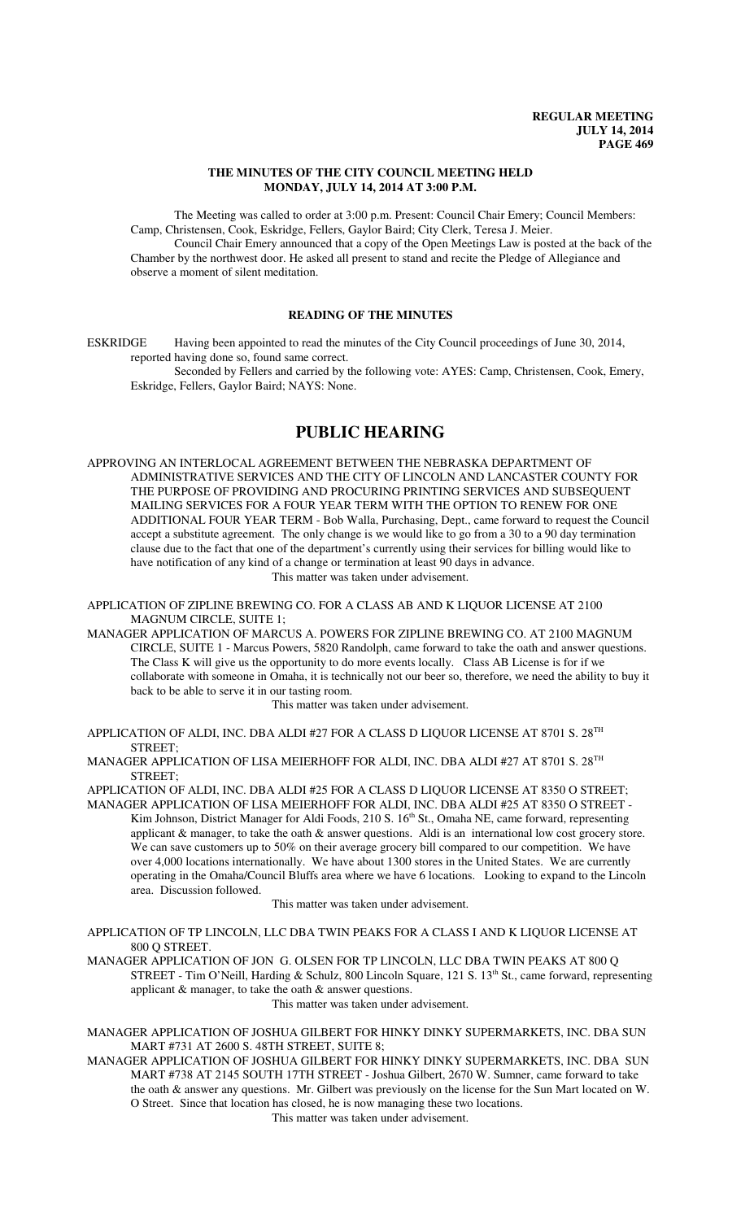## **THE MINUTES OF THE CITY COUNCIL MEETING HELD MONDAY, JULY 14, 2014 AT 3:00 P.M.**

The Meeting was called to order at 3:00 p.m. Present: Council Chair Emery; Council Members: Camp, Christensen, Cook, Eskridge, Fellers, Gaylor Baird; City Clerk, Teresa J. Meier.

Council Chair Emery announced that a copy of the Open Meetings Law is posted at the back of the Chamber by the northwest door. He asked all present to stand and recite the Pledge of Allegiance and observe a moment of silent meditation.

## **READING OF THE MINUTES**

ESKRIDGE Having been appointed to read the minutes of the City Council proceedings of June 30, 2014, reported having done so, found same correct.

Seconded by Fellers and carried by the following vote: AYES: Camp, Christensen, Cook, Emery, Eskridge, Fellers, Gaylor Baird; NAYS: None.

## **PUBLIC HEARING**

APPROVING AN INTERLOCAL AGREEMENT BETWEEN THE NEBRASKA DEPARTMENT OF ADMINISTRATIVE SERVICES AND THE CITY OF LINCOLN AND LANCASTER COUNTY FOR THE PURPOSE OF PROVIDING AND PROCURING PRINTING SERVICES AND SUBSEQUENT MAILING SERVICES FOR A FOUR YEAR TERM WITH THE OPTION TO RENEW FOR ONE ADDITIONAL FOUR YEAR TERM - Bob Walla, Purchasing, Dept., came forward to request the Council accept a substitute agreement. The only change is we would like to go from a 30 to a 90 day termination clause due to the fact that one of the department's currently using their services for billing would like to have notification of any kind of a change or termination at least 90 days in advance. This matter was taken under advisement.

APPLICATION OF ZIPLINE BREWING CO. FOR A CLASS AB AND K LIQUOR LICENSE AT 2100 MAGNUM CIRCLE, SUITE 1;

MANAGER APPLICATION OF MARCUS A. POWERS FOR ZIPLINE BREWING CO. AT 2100 MAGNUM CIRCLE, SUITE 1 - Marcus Powers, 5820 Randolph, came forward to take the oath and answer questions. The Class K will give us the opportunity to do more events locally. Class AB License is for if we collaborate with someone in Omaha, it is technically not our beer so, therefore, we need the ability to buy it back to be able to serve it in our tasting room.

This matter was taken under advisement.

APPLICATION OF ALDI, INC. DBA ALDI #27 FOR A CLASS D LIQUOR LICENSE AT 8701 S. 28<sup>TH</sup> STREET;

MANAGER APPLICATION OF LISA MEIERHOFF FOR ALDI, INC. DBA ALDI #27 AT 8701 S. 28TH STREET;

APPLICATION OF ALDI, INC. DBA ALDI #25 FOR A CLASS D LIQUOR LICENSE AT 8350 O STREET;

MANAGER APPLICATION OF LISA MEIERHOFF FOR ALDI, INC. DBA ALDI #25 AT 8350 O STREET - Kim Johnson, District Manager for Aldi Foods, 210 S. 16<sup>th</sup> St., Omaha NE, came forward, representing applicant & manager, to take the oath & answer questions. Aldi is an international low cost grocery store. We can save customers up to 50% on their average grocery bill compared to our competition. We have over 4,000 locations internationally. We have about 1300 stores in the United States. We are currently operating in the Omaha/Council Bluffs area where we have 6 locations. Looking to expand to the Lincoln area. Discussion followed.

This matter was taken under advisement.

APPLICATION OF TP LINCOLN, LLC DBA TWIN PEAKS FOR A CLASS I AND K LIQUOR LICENSE AT 800 Q STREET.

MANAGER APPLICATION OF JON G. OLSEN FOR TP LINCOLN, LLC DBA TWIN PEAKS AT 800 Q STREET - Tim O'Neill, Harding & Schulz, 800 Lincoln Square, 121 S. 13<sup>th</sup> St., came forward, representing applicant & manager, to take the oath & answer questions. This matter was taken under advisement.

MANAGER APPLICATION OF JOSHUA GILBERT FOR HINKY DINKY SUPERMARKETS, INC. DBA SUN MART #731 AT 2600 S. 48TH STREET, SUITE 8;

MANAGER APPLICATION OF JOSHUA GILBERT FOR HINKY DINKY SUPERMARKETS, INC. DBA SUN MART #738 AT 2145 SOUTH 17TH STREET - Joshua Gilbert, 2670 W. Sumner, came forward to take the oath & answer any questions. Mr. Gilbert was previously on the license for the Sun Mart located on W. O Street. Since that location has closed, he is now managing these two locations.

This matter was taken under advisement.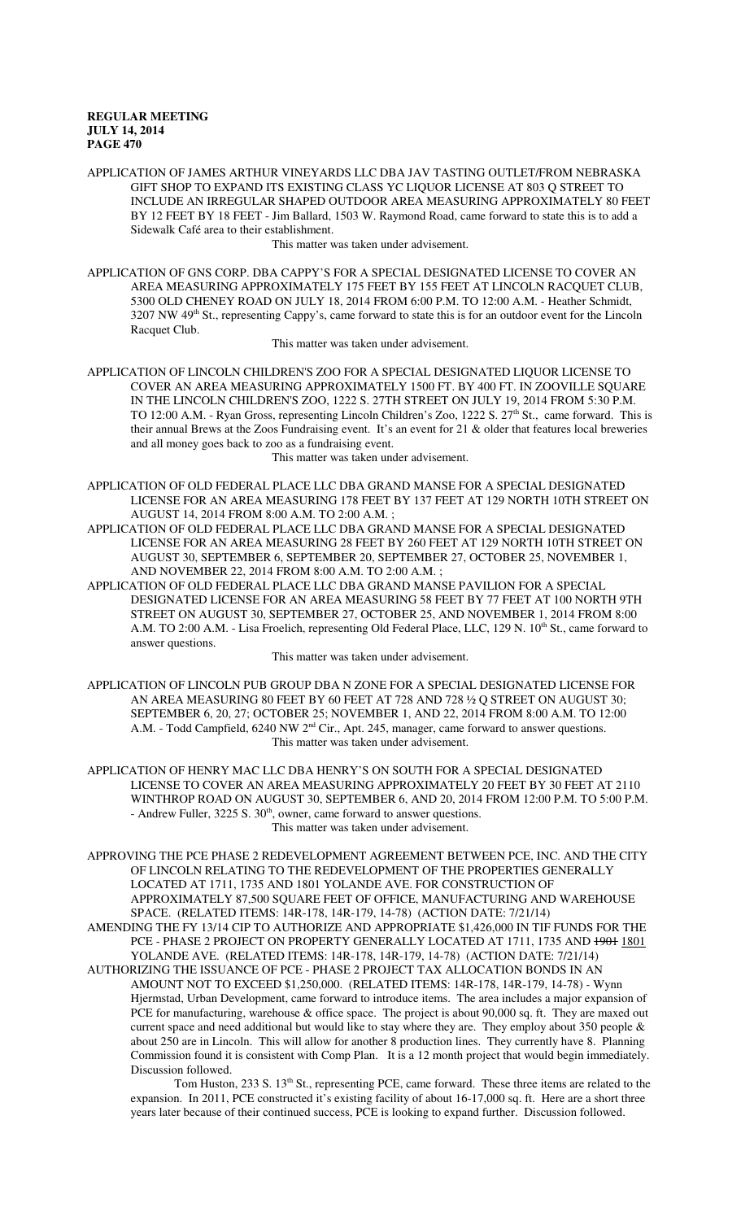APPLICATION OF JAMES ARTHUR VINEYARDS LLC DBA JAV TASTING OUTLET/FROM NEBRASKA GIFT SHOP TO EXPAND ITS EXISTING CLASS YC LIQUOR LICENSE AT 803 Q STREET TO INCLUDE AN IRREGULAR SHAPED OUTDOOR AREA MEASURING APPROXIMATELY 80 FEET BY 12 FEET BY 18 FEET - Jim Ballard, 1503 W. Raymond Road, came forward to state this is to add a Sidewalk Café area to their establishment.

This matter was taken under advisement.

APPLICATION OF GNS CORP. DBA CAPPY'S FOR A SPECIAL DESIGNATED LICENSE TO COVER AN AREA MEASURING APPROXIMATELY 175 FEET BY 155 FEET AT LINCOLN RACQUET CLUB, 5300 OLD CHENEY ROAD ON JULY 18, 2014 FROM 6:00 P.M. TO 12:00 A.M. - Heather Schmidt, 3207 NW 49th St., representing Cappy's, came forward to state this is for an outdoor event for the Lincoln Racquet Club.

This matter was taken under advisement.

APPLICATION OF LINCOLN CHILDREN'S ZOO FOR A SPECIAL DESIGNATED LIQUOR LICENSE TO COVER AN AREA MEASURING APPROXIMATELY 1500 FT. BY 400 FT. IN ZOOVILLE SQUARE IN THE LINCOLN CHILDREN'S ZOO, 1222 S. 27TH STREET ON JULY 19, 2014 FROM 5:30 P.M. TO 12:00 A.M. - Ryan Gross, representing Lincoln Children's Zoo, 1222 S. 27<sup>th</sup> St., came forward. This is their annual Brews at the Zoos Fundraising event. It's an event for 21 & older that features local breweries and all money goes back to zoo as a fundraising event.

This matter was taken under advisement.

- APPLICATION OF OLD FEDERAL PLACE LLC DBA GRAND MANSE FOR A SPECIAL DESIGNATED LICENSE FOR AN AREA MEASURING 178 FEET BY 137 FEET AT 129 NORTH 10TH STREET ON AUGUST 14, 2014 FROM 8:00 A.M. TO 2:00 A.M. ;
- APPLICATION OF OLD FEDERAL PLACE LLC DBA GRAND MANSE FOR A SPECIAL DESIGNATED LICENSE FOR AN AREA MEASURING 28 FEET BY 260 FEET AT 129 NORTH 10TH STREET ON AUGUST 30, SEPTEMBER 6, SEPTEMBER 20, SEPTEMBER 27, OCTOBER 25, NOVEMBER 1, AND NOVEMBER 22, 2014 FROM 8:00 A.M. TO 2:00 A.M. ;
- APPLICATION OF OLD FEDERAL PLACE LLC DBA GRAND MANSE PAVILION FOR A SPECIAL DESIGNATED LICENSE FOR AN AREA MEASURING 58 FEET BY 77 FEET AT 100 NORTH 9TH STREET ON AUGUST 30, SEPTEMBER 27, OCTOBER 25, AND NOVEMBER 1, 2014 FROM 8:00 A.M. TO 2:00 A.M. - Lisa Froelich, representing Old Federal Place, LLC, 129 N. 10<sup>th</sup> St., came forward to answer questions.

This matter was taken under advisement.

- APPLICATION OF LINCOLN PUB GROUP DBA N ZONE FOR A SPECIAL DESIGNATED LICENSE FOR AN AREA MEASURING 80 FEET BY 60 FEET AT 728 AND 728 ½ Q STREET ON AUGUST 30; SEPTEMBER 6, 20, 27; OCTOBER 25; NOVEMBER 1, AND 22, 2014 FROM 8:00 A.M. TO 12:00 A.M. - Todd Campfield, 6240 NW 2<sup>nd</sup> Cir., Apt. 245, manager, came forward to answer questions. This matter was taken under advisement.
- APPLICATION OF HENRY MAC LLC DBA HENRY'S ON SOUTH FOR A SPECIAL DESIGNATED LICENSE TO COVER AN AREA MEASURING APPROXIMATELY 20 FEET BY 30 FEET AT 2110 WINTHROP ROAD ON AUGUST 30, SEPTEMBER 6, AND 20, 2014 FROM 12:00 P.M. TO 5:00 P.M. - Andrew Fuller, 3225 S.  $30<sup>th</sup>$ , owner, came forward to answer questions. This matter was taken under advisement.
- APPROVING THE PCE PHASE 2 REDEVELOPMENT AGREEMENT BETWEEN PCE, INC. AND THE CITY OF LINCOLN RELATING TO THE REDEVELOPMENT OF THE PROPERTIES GENERALLY LOCATED AT 1711, 1735 AND 1801 YOLANDE AVE. FOR CONSTRUCTION OF APPROXIMATELY 87,500 SQUARE FEET OF OFFICE, MANUFACTURING AND WAREHOUSE SPACE. (RELATED ITEMS: 14R-178, 14R-179, 14-78) (ACTION DATE: 7/21/14)
- AMENDING THE FY 13/14 CIP TO AUTHORIZE AND APPROPRIATE \$1,426,000 IN TIF FUNDS FOR THE PCE - PHASE 2 PROJECT ON PROPERTY GENERALLY LOCATED AT 1711, 1735 AND 1901 1801 YOLANDE AVE. (RELATED ITEMS: 14R-178, 14R-179, 14-78) (ACTION DATE: 7/21/14)
- AUTHORIZING THE ISSUANCE OF PCE PHASE 2 PROJECT TAX ALLOCATION BONDS IN AN AMOUNT NOT TO EXCEED \$1,250,000. (RELATED ITEMS: 14R-178, 14R-179, 14-78) - Wynn Hjermstad, Urban Development, came forward to introduce items. The area includes a major expansion of PCE for manufacturing, warehouse & office space. The project is about 90,000 sq. ft. They are maxed out current space and need additional but would like to stay where they are. They employ about 350 people & about 250 are in Lincoln. This will allow for another 8 production lines. They currently have 8. Planning Commission found it is consistent with Comp Plan. It is a 12 month project that would begin immediately. Discussion followed.

Tom Huston, 233 S. 13<sup>th</sup> St., representing PCE, came forward. These three items are related to the expansion. In 2011, PCE constructed it's existing facility of about 16-17,000 sq. ft. Here are a short three years later because of their continued success, PCE is looking to expand further. Discussion followed.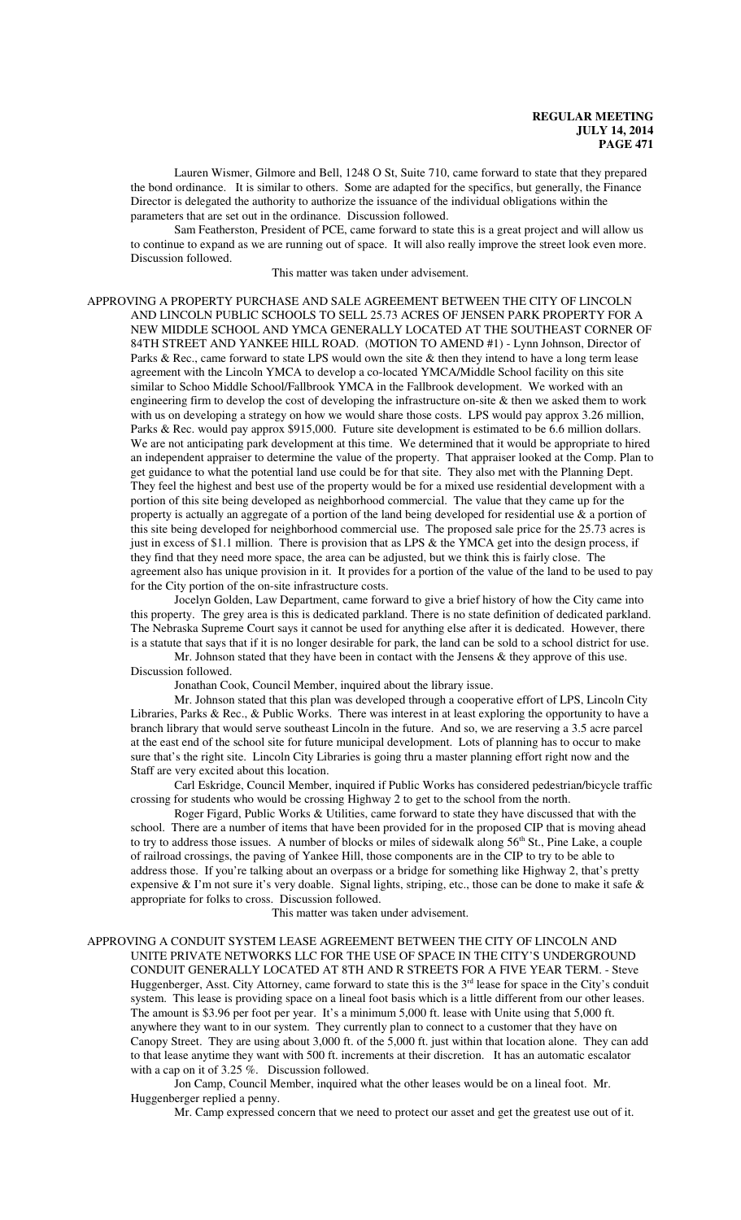Lauren Wismer, Gilmore and Bell, 1248 O St, Suite 710, came forward to state that they prepared the bond ordinance. It is similar to others. Some are adapted for the specifics, but generally, the Finance Director is delegated the authority to authorize the issuance of the individual obligations within the parameters that are set out in the ordinance. Discussion followed.

Sam Featherston, President of PCE, came forward to state this is a great project and will allow us to continue to expand as we are running out of space. It will also really improve the street look even more. Discussion followed.

This matter was taken under advisement.

APPROVING A PROPERTY PURCHASE AND SALE AGREEMENT BETWEEN THE CITY OF LINCOLN AND LINCOLN PUBLIC SCHOOLS TO SELL 25.73 ACRES OF JENSEN PARK PROPERTY FOR A NEW MIDDLE SCHOOL AND YMCA GENERALLY LOCATED AT THE SOUTHEAST CORNER OF 84TH STREET AND YANKEE HILL ROAD. (MOTION TO AMEND #1) - Lynn Johnson, Director of Parks & Rec., came forward to state LPS would own the site & then they intend to have a long term lease agreement with the Lincoln YMCA to develop a co-located YMCA/Middle School facility on this site similar to Schoo Middle School/Fallbrook YMCA in the Fallbrook development. We worked with an engineering firm to develop the cost of developing the infrastructure on-site & then we asked them to work with us on developing a strategy on how we would share those costs. LPS would pay approx 3.26 million, Parks & Rec. would pay approx \$915,000. Future site development is estimated to be 6.6 million dollars. We are not anticipating park development at this time. We determined that it would be appropriate to hired an independent appraiser to determine the value of the property. That appraiser looked at the Comp. Plan to get guidance to what the potential land use could be for that site. They also met with the Planning Dept. They feel the highest and best use of the property would be for a mixed use residential development with a portion of this site being developed as neighborhood commercial. The value that they came up for the property is actually an aggregate of a portion of the land being developed for residential use & a portion of this site being developed for neighborhood commercial use. The proposed sale price for the 25.73 acres is just in excess of \$1.1 million. There is provision that as LPS & the YMCA get into the design process, if they find that they need more space, the area can be adjusted, but we think this is fairly close. The agreement also has unique provision in it. It provides for a portion of the value of the land to be used to pay for the City portion of the on-site infrastructure costs.

Jocelyn Golden, Law Department, came forward to give a brief history of how the City came into this property. The grey area is this is dedicated parkland. There is no state definition of dedicated parkland. The Nebraska Supreme Court says it cannot be used for anything else after it is dedicated. However, there is a statute that says that if it is no longer desirable for park, the land can be sold to a school district for use.

Mr. Johnson stated that they have been in contact with the Jensens & they approve of this use. Discussion followed.

Jonathan Cook, Council Member, inquired about the library issue.

Mr. Johnson stated that this plan was developed through a cooperative effort of LPS, Lincoln City Libraries, Parks & Rec., & Public Works. There was interest in at least exploring the opportunity to have a branch library that would serve southeast Lincoln in the future. And so, we are reserving a 3.5 acre parcel at the east end of the school site for future municipal development. Lots of planning has to occur to make sure that's the right site. Lincoln City Libraries is going thru a master planning effort right now and the Staff are very excited about this location.

Carl Eskridge, Council Member, inquired if Public Works has considered pedestrian/bicycle traffic crossing for students who would be crossing Highway 2 to get to the school from the north.

Roger Figard, Public Works & Utilities, came forward to state they have discussed that with the school. There are a number of items that have been provided for in the proposed CIP that is moving ahead to try to address those issues. A number of blocks or miles of sidewalk along 56<sup>th</sup> St., Pine Lake, a couple of railroad crossings, the paving of Yankee Hill, those components are in the CIP to try to be able to address those. If you're talking about an overpass or a bridge for something like Highway 2, that's pretty expensive & I'm not sure it's very doable. Signal lights, striping, etc., those can be done to make it safe & appropriate for folks to cross. Discussion followed.

This matter was taken under advisement.

APPROVING A CONDUIT SYSTEM LEASE AGREEMENT BETWEEN THE CITY OF LINCOLN AND UNITE PRIVATE NETWORKS LLC FOR THE USE OF SPACE IN THE CITY'S UNDERGROUND CONDUIT GENERALLY LOCATED AT 8TH AND R STREETS FOR A FIVE YEAR TERM. - Steve Huggenberger, Asst. City Attorney, came forward to state this is the  $3<sup>rd</sup>$  lease for space in the City's conduit system. This lease is providing space on a lineal foot basis which is a little different from our other leases. The amount is \$3.96 per foot per year. It's a minimum 5,000 ft. lease with Unite using that 5,000 ft. anywhere they want to in our system. They currently plan to connect to a customer that they have on Canopy Street. They are using about 3,000 ft. of the 5,000 ft. just within that location alone. They can add to that lease anytime they want with 500 ft. increments at their discretion. It has an automatic escalator with a cap on it of 3.25 %. Discussion followed.

Jon Camp, Council Member, inquired what the other leases would be on a lineal foot. Mr. Huggenberger replied a penny.

Mr. Camp expressed concern that we need to protect our asset and get the greatest use out of it.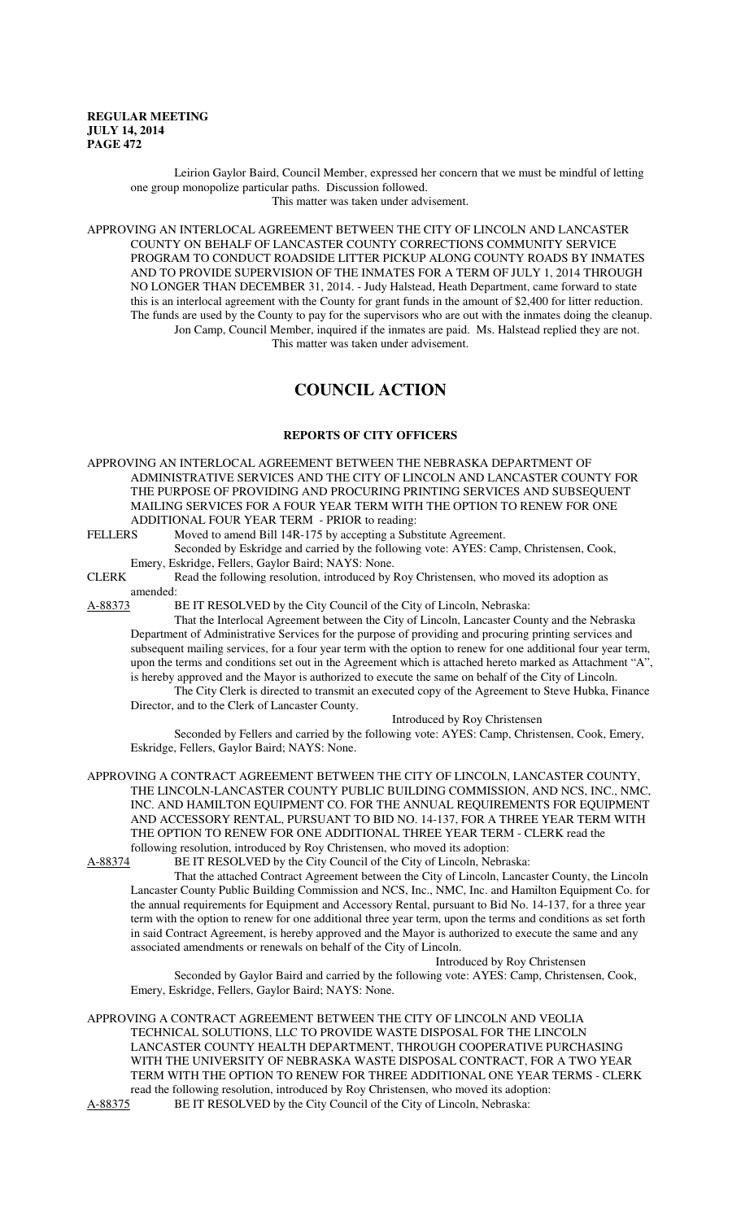Leirion Gaylor Baird, Council Member, expressed her concern that we must be mindful of letting one group monopolize particular paths. Discussion followed. This matter was taken under advisement.

APPROVING AN INTERLOCAL AGREEMENT BETWEEN THE CITY OF LINCOLN AND LANCASTER COUNTY ON BEHALF OF LANCASTER COUNTY CORRECTIONS COMMUNITY SERVICE PROGRAM TO CONDUCT ROADSIDE LITTER PICKUP ALONG COUNTY ROADS BY INMATES AND TO PROVIDE SUPERVISION OF THE INMATES FOR A TERM OF JULY 1, 2014 THROUGH NO LONGER THAN DECEMBER 31, 2014. - Judy Halstead, Heath Department, came forward to state this is an interlocal agreement with the County for grant funds in the amount of \$2,400 for litter reduction. The funds are used by the County to pay for the supervisors who are out with the inmates doing the cleanup. Jon Camp, Council Member, inquired if the inmates are paid. Ms. Halstead replied they are not. This matter was taken under advisement.

# **COUNCIL ACTION**

## **REPORTS OF CITY OFFICERS**

APPROVING AN INTERLOCAL AGREEMENT BETWEEN THE NEBRASKA DEPARTMENT OF ADMINISTRATIVE SERVICES AND THE CITY OF LINCOLN AND LANCASTER COUNTY FOR THE PURPOSE OF PROVIDING AND PROCURING PRINTING SERVICES AND SUBSEQUENT MAILING SERVICES FOR A FOUR YEAR TERM WITH THE OPTION TO RENEW FOR ONE ADDITIONAL FOUR YEAR TERM - PRIOR to reading:<br>FELLERS Moved to amend Bill 14R-175 by accepting a Subs

Moved to amend Bill 14R-175 by accepting a Substitute Agreement.

Seconded by Eskridge and carried by the following vote: AYES: Camp, Christensen, Cook, Emery, Eskridge, Fellers, Gaylor Baird; NAYS: None.

CLERK Read the following resolution, introduced by Roy Christensen, who moved its adoption as amended:

A-88373 BE IT RESOLVED by the City Council of the City of Lincoln, Nebraska:

That the Interlocal Agreement between the City of Lincoln, Lancaster County and the Nebraska Department of Administrative Services for the purpose of providing and procuring printing services and subsequent mailing services, for a four year term with the option to renew for one additional four year term, upon the terms and conditions set out in the Agreement which is attached hereto marked as Attachment "A", is hereby approved and the Mayor is authorized to execute the same on behalf of the City of Lincoln.

The City Clerk is directed to transmit an executed copy of the Agreement to Steve Hubka, Finance Director, and to the Clerk of Lancaster County.

Introduced by Roy Christensen

Seconded by Fellers and carried by the following vote: AYES: Camp, Christensen, Cook, Emery, Eskridge, Fellers, Gaylor Baird; NAYS: None.

APPROVING A CONTRACT AGREEMENT BETWEEN THE CITY OF LINCOLN, LANCASTER COUNTY, THE LINCOLN-LANCASTER COUNTY PUBLIC BUILDING COMMISSION, AND NCS, INC., NMC, INC. AND HAMILTON EQUIPMENT CO. FOR THE ANNUAL REQUIREMENTS FOR EQUIPMENT AND ACCESSORY RENTAL, PURSUANT TO BID NO. 14-137, FOR A THREE YEAR TERM WITH THE OPTION TO RENEW FOR ONE ADDITIONAL THREE YEAR TERM - CLERK read the following resolution, introduced by Roy Christensen, who moved its adoption:

A-88374 BE IT RESOLVED by the City Council of the City of Lincoln, Nebraska:

That the attached Contract Agreement between the City of Lincoln, Lancaster County, the Lincoln Lancaster County Public Building Commission and NCS, Inc., NMC, Inc. and Hamilton Equipment Co. for the annual requirements for Equipment and Accessory Rental, pursuant to Bid No. 14-137, for a three year term with the option to renew for one additional three year term, upon the terms and conditions as set forth in said Contract Agreement, is hereby approved and the Mayor is authorized to execute the same and any associated amendments or renewals on behalf of the City of Lincoln. Introduced by Roy Christensen

Seconded by Gaylor Baird and carried by the following vote: AYES: Camp, Christensen, Cook, Emery, Eskridge, Fellers, Gaylor Baird; NAYS: None.

APPROVING A CONTRACT AGREEMENT BETWEEN THE CITY OF LINCOLN AND VEOLIA TECHNICAL SOLUTIONS, LLC TO PROVIDE WASTE DISPOSAL FOR THE LINCOLN LANCASTER COUNTY HEALTH DEPARTMENT, THROUGH COOPERATIVE PURCHASING WITH THE UNIVERSITY OF NEBRASKA WASTE DISPOSAL CONTRACT, FOR A TWO YEAR TERM WITH THE OPTION TO RENEW FOR THREE ADDITIONAL ONE YEAR TERMS - CLERK read the following resolution, introduced by Roy Christensen, who moved its adoption:<br>A-88375 BE IT RESOLVED by the City Council of the City of Lincoln, Nebraska: BE IT RESOLVED by the City Council of the City of Lincoln, Nebraska: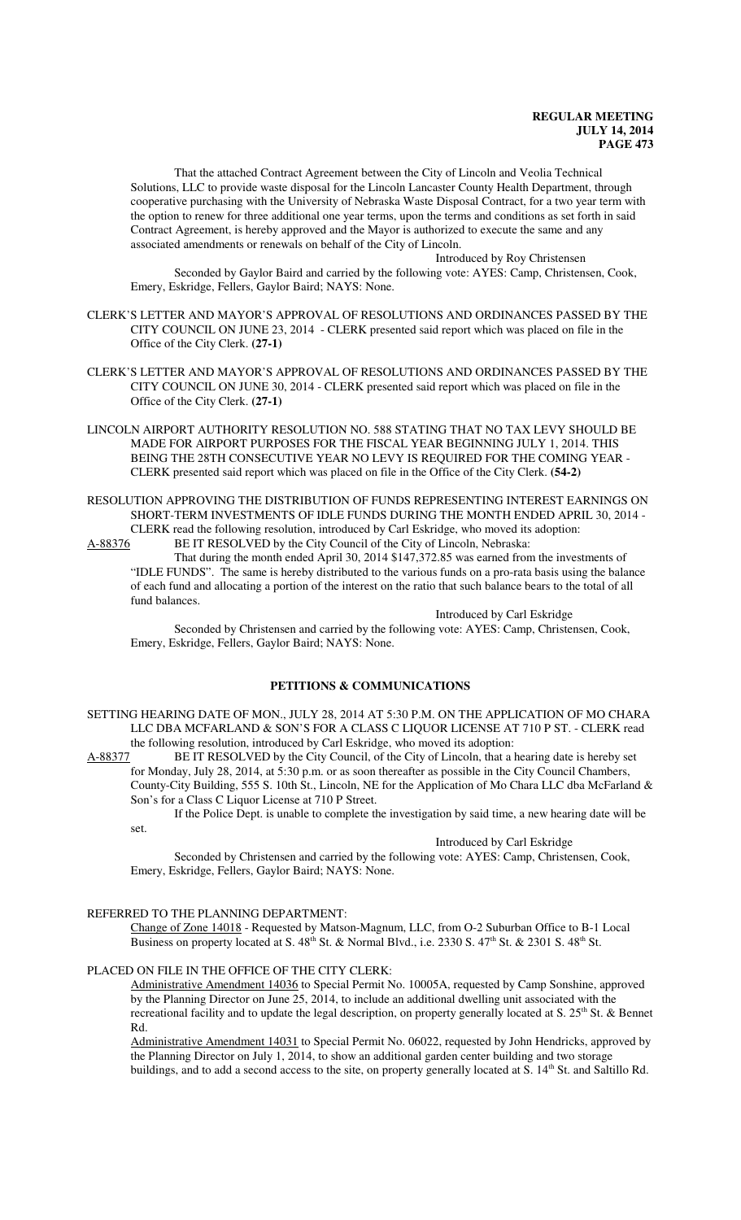That the attached Contract Agreement between the City of Lincoln and Veolia Technical Solutions, LLC to provide waste disposal for the Lincoln Lancaster County Health Department, through cooperative purchasing with the University of Nebraska Waste Disposal Contract, for a two year term with the option to renew for three additional one year terms, upon the terms and conditions as set forth in said Contract Agreement, is hereby approved and the Mayor is authorized to execute the same and any associated amendments or renewals on behalf of the City of Lincoln.

Introduced by Roy Christensen

Seconded by Gaylor Baird and carried by the following vote: AYES: Camp, Christensen, Cook, Emery, Eskridge, Fellers, Gaylor Baird; NAYS: None.

- CLERK'S LETTER AND MAYOR'S APPROVAL OF RESOLUTIONS AND ORDINANCES PASSED BY THE CITY COUNCIL ON JUNE 23, 2014 - CLERK presented said report which was placed on file in the Office of the City Clerk. **(27-1)**
- CLERK'S LETTER AND MAYOR'S APPROVAL OF RESOLUTIONS AND ORDINANCES PASSED BY THE CITY COUNCIL ON JUNE 30, 2014 - CLERK presented said report which was placed on file in the Office of the City Clerk. **(27-1)**
- LINCOLN AIRPORT AUTHORITY RESOLUTION NO. 588 STATING THAT NO TAX LEVY SHOULD BE MADE FOR AIRPORT PURPOSES FOR THE FISCAL YEAR BEGINNING JULY 1, 2014. THIS BEING THE 28TH CONSECUTIVE YEAR NO LEVY IS REQUIRED FOR THE COMING YEAR - CLERK presented said report which was placed on file in the Office of the City Clerk. **(54-2)**
- RESOLUTION APPROVING THE DISTRIBUTION OF FUNDS REPRESENTING INTEREST EARNINGS ON SHORT-TERM INVESTMENTS OF IDLE FUNDS DURING THE MONTH ENDED APRIL 30, 2014 - CLERK read the following resolution, introduced by Carl Eskridge, who moved its adoption: A-88376 BE IT RESOLVED by the City Council of the City of Lincoln, Nebraska:

That during the month ended April 30, 2014 \$147,372.85 was earned from the investments of "IDLE FUNDS". The same is hereby distributed to the various funds on a pro-rata basis using the balance of each fund and allocating a portion of the interest on the ratio that such balance bears to the total of all fund balances.

Introduced by Carl Eskridge

Seconded by Christensen and carried by the following vote: AYES: Camp, Christensen, Cook, Emery, Eskridge, Fellers, Gaylor Baird; NAYS: None.

## **PETITIONS & COMMUNICATIONS**

SETTING HEARING DATE OF MON., JULY 28, 2014 AT 5:30 P.M. ON THE APPLICATION OF MO CHARA LLC DBA MCFARLAND & SON'S FOR A CLASS C LIQUOR LICENSE AT 710 P ST. - CLERK read the following resolution, introduced by Carl Eskridge, who moved its adoption:

A-88377 BE IT RESOLVED by the City Council, of the City of Lincoln, that a hearing date is hereby set for Monday, July 28, 2014, at 5:30 p.m. or as soon thereafter as possible in the City Council Chambers, County-City Building, 555 S. 10th St., Lincoln, NE for the Application of Mo Chara LLC dba McFarland &

Son's for a Class C Liquor License at 710 P Street. If the Police Dept. is unable to complete the investigation by said time, a new hearing date will be set.

#### Introduced by Carl Eskridge

Seconded by Christensen and carried by the following vote: AYES: Camp, Christensen, Cook, Emery, Eskridge, Fellers, Gaylor Baird; NAYS: None.

#### REFERRED TO THE PLANNING DEPARTMENT:

Change of Zone 14018 - Requested by Matson-Magnum, LLC, from O-2 Suburban Office to B-1 Local Business on property located at S. 48<sup>th</sup> St. & Normal Blvd., i.e. 2330 S. 47<sup>th</sup> St. & 2301 S. 48<sup>th</sup> St.

## PLACED ON FILE IN THE OFFICE OF THE CITY CLERK:

Administrative Amendment 14036 to Special Permit No. 10005A, requested by Camp Sonshine, approved by the Planning Director on June 25, 2014, to include an additional dwelling unit associated with the recreational facility and to update the legal description, on property generally located at S. 25<sup>th</sup> St. & Bennet Rd.

Administrative Amendment 14031 to Special Permit No. 06022, requested by John Hendricks, approved by the Planning Director on July 1, 2014, to show an additional garden center building and two storage buildings, and to add a second access to the site, on property generally located at S. 14<sup>th</sup> St. and Saltillo Rd.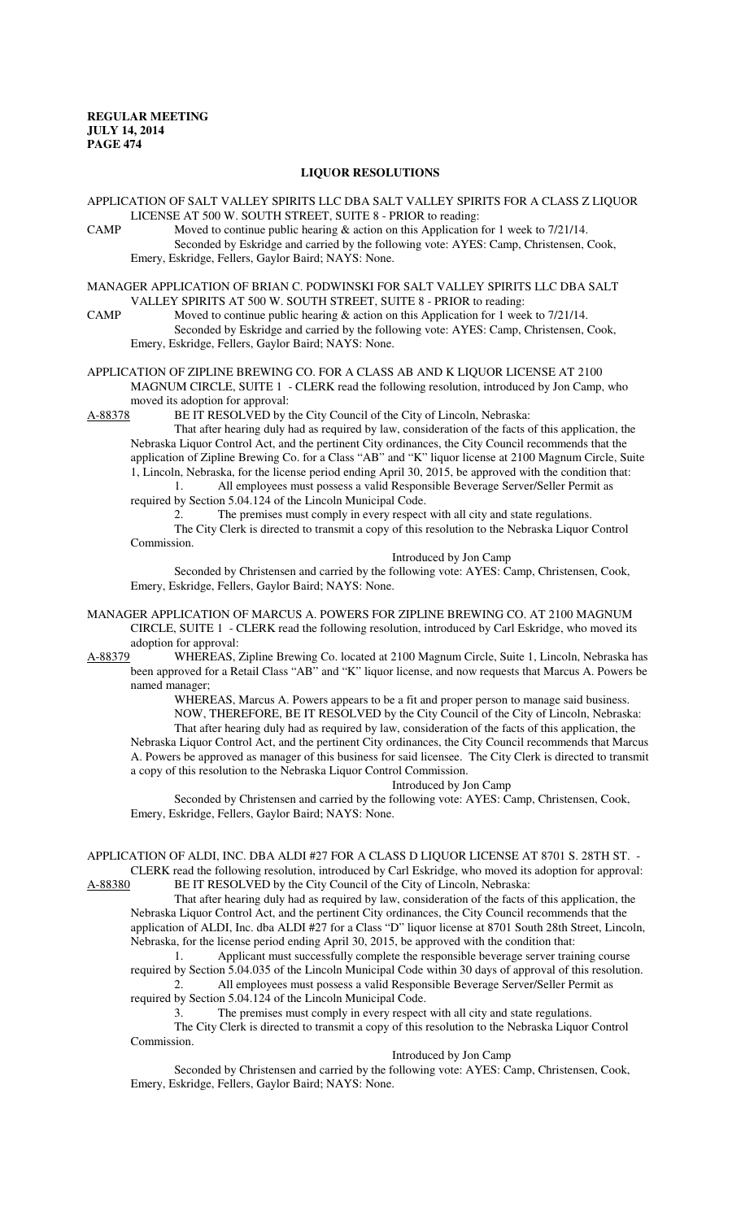#### **LIQUOR RESOLUTIONS**

APPLICATION OF SALT VALLEY SPIRITS LLC DBA SALT VALLEY SPIRITS FOR A CLASS Z LIQUOR LICENSE AT 500 W. SOUTH STREET, SUITE 8 - PRIOR to reading:

CAMP Moved to continue public hearing & action on this Application for 1 week to 7/21/14. Seconded by Eskridge and carried by the following vote: AYES: Camp, Christensen, Cook, Emery, Eskridge, Fellers, Gaylor Baird; NAYS: None.

MANAGER APPLICATION OF BRIAN C. PODWINSKI FOR SALT VALLEY SPIRITS LLC DBA SALT VALLEY SPIRITS AT 500 W. SOUTH STREET, SUITE 8 - PRIOR to reading:

CAMP Moved to continue public hearing & action on this Application for 1 week to 7/21/14. Seconded by Eskridge and carried by the following vote: AYES: Camp, Christensen, Cook, Emery, Eskridge, Fellers, Gaylor Baird; NAYS: None.

APPLICATION OF ZIPLINE BREWING CO. FOR A CLASS AB AND K LIQUOR LICENSE AT 2100 MAGNUM CIRCLE, SUITE 1 - CLERK read the following resolution, introduced by Jon Camp, who moved its adoption for approval:

A-88378 BE IT RESOLVED by the City Council of the City of Lincoln, Nebraska:

That after hearing duly had as required by law, consideration of the facts of this application, the Nebraska Liquor Control Act, and the pertinent City ordinances, the City Council recommends that the application of Zipline Brewing Co. for a Class "AB" and "K" liquor license at 2100 Magnum Circle, Suite 1, Lincoln, Nebraska, for the license period ending April 30, 2015, be approved with the condition that:

1. All employees must possess a valid Responsible Beverage Server/Seller Permit as required by Section 5.04.124 of the Lincoln Municipal Code.

2. The premises must comply in every respect with all city and state regulations. The City Clerk is directed to transmit a copy of this resolution to the Nebraska Liquor Control Commission.

Introduced by Jon Camp

Seconded by Christensen and carried by the following vote: AYES: Camp, Christensen, Cook, Emery, Eskridge, Fellers, Gaylor Baird; NAYS: None.

MANAGER APPLICATION OF MARCUS A. POWERS FOR ZIPLINE BREWING CO. AT 2100 MAGNUM CIRCLE, SUITE 1 - CLERK read the following resolution, introduced by Carl Eskridge, who moved its adoption for approval:

A-88379 WHEREAS, Zipline Brewing Co. located at 2100 Magnum Circle, Suite 1, Lincoln, Nebraska has been approved for a Retail Class "AB" and "K" liquor license, and now requests that Marcus A. Powers be named manager;

WHEREAS, Marcus A. Powers appears to be a fit and proper person to manage said business. NOW, THEREFORE, BE IT RESOLVED by the City Council of the City of Lincoln, Nebraska: That after hearing duly had as required by law, consideration of the facts of this application, the Nebraska Liquor Control Act, and the pertinent City ordinances, the City Council recommends that Marcus A. Powers be approved as manager of this business for said licensee. The City Clerk is directed to transmit a copy of this resolution to the Nebraska Liquor Control Commission.

Introduced by Jon Camp

Seconded by Christensen and carried by the following vote: AYES: Camp, Christensen, Cook, Emery, Eskridge, Fellers, Gaylor Baird; NAYS: None.

## APPLICATION OF ALDI, INC. DBA ALDI #27 FOR A CLASS D LIQUOR LICENSE AT 8701 S. 28TH ST. - CLERK read the following resolution, introduced by Carl Eskridge, who moved its adoption for approval:

A-88380 BE IT RESOLVED by the City Council of the City of Lincoln, Nebraska:

That after hearing duly had as required by law, consideration of the facts of this application, the Nebraska Liquor Control Act, and the pertinent City ordinances, the City Council recommends that the application of ALDI, Inc. dba ALDI #27 for a Class "D" liquor license at 8701 South 28th Street, Lincoln, Nebraska, for the license period ending April 30, 2015, be approved with the condition that:

1. Applicant must successfully complete the responsible beverage server training course required by Section 5.04.035 of the Lincoln Municipal Code within 30 days of approval of this resolution.

2. All employees must possess a valid Responsible Beverage Server/Seller Permit as required by Section 5.04.124 of the Lincoln Municipal Code.

3. The premises must comply in every respect with all city and state regulations.

The City Clerk is directed to transmit a copy of this resolution to the Nebraska Liquor Control Commission.

#### Introduced by Jon Camp

Seconded by Christensen and carried by the following vote: AYES: Camp, Christensen, Cook, Emery, Eskridge, Fellers, Gaylor Baird; NAYS: None.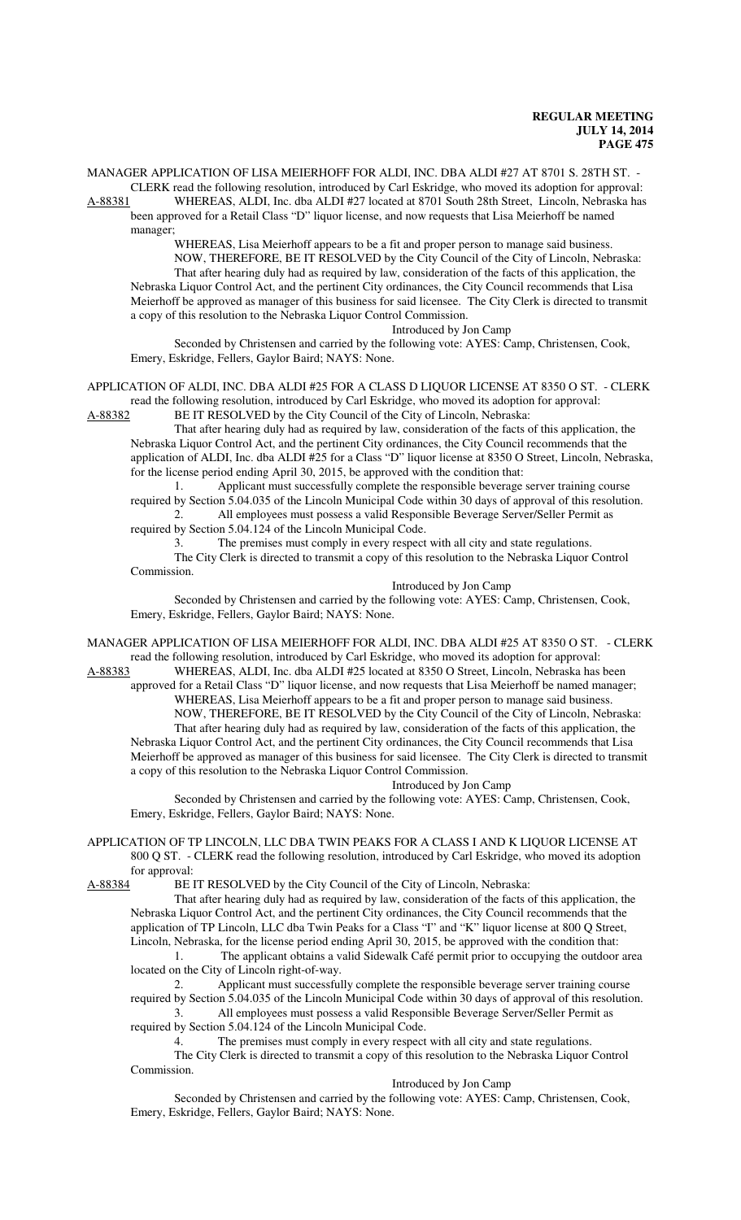MANAGER APPLICATION OF LISA MEIERHOFF FOR ALDI, INC. DBA ALDI #27 AT 8701 S. 28TH ST. - CLERK read the following resolution, introduced by Carl Eskridge, who moved its adoption for approval:

A-88381 WHEREAS, ALDI, Inc. dba ALDI #27 located at 8701 South 28th Street, Lincoln, Nebraska has been approved for a Retail Class "D" liquor license, and now requests that Lisa Meierhoff be named manager;

WHEREAS, Lisa Meierhoff appears to be a fit and proper person to manage said business. NOW, THEREFORE, BE IT RESOLVED by the City Council of the City of Lincoln, Nebraska: That after hearing duly had as required by law, consideration of the facts of this application, the Nebraska Liquor Control Act, and the pertinent City ordinances, the City Council recommends that Lisa Meierhoff be approved as manager of this business for said licensee. The City Clerk is directed to transmit a copy of this resolution to the Nebraska Liquor Control Commission.

Introduced by Jon Camp

Seconded by Christensen and carried by the following vote: AYES: Camp, Christensen, Cook, Emery, Eskridge, Fellers, Gaylor Baird; NAYS: None.

## APPLICATION OF ALDI, INC. DBA ALDI #25 FOR A CLASS D LIQUOR LICENSE AT 8350 O ST. - CLERK read the following resolution, introduced by Carl Eskridge, who moved its adoption for approval:

A-88382 BE IT RESOLVED by the City Council of the City of Lincoln, Nebraska:

That after hearing duly had as required by law, consideration of the facts of this application, the Nebraska Liquor Control Act, and the pertinent City ordinances, the City Council recommends that the application of ALDI, Inc. dba ALDI #25 for a Class "D" liquor license at 8350 O Street, Lincoln, Nebraska, for the license period ending April 30, 2015, be approved with the condition that:

1. Applicant must successfully complete the responsible beverage server training course required by Section 5.04.035 of the Lincoln Municipal Code within 30 days of approval of this resolution. 2. All employees must possess a valid Responsible Beverage Server/Seller Permit as

required by Section 5.04.124 of the Lincoln Municipal Code.

3. The premises must comply in every respect with all city and state regulations. The City Clerk is directed to transmit a copy of this resolution to the Nebraska Liquor Control Commission.

Introduced by Jon Camp

Seconded by Christensen and carried by the following vote: AYES: Camp, Christensen, Cook, Emery, Eskridge, Fellers, Gaylor Baird; NAYS: None.

MANAGER APPLICATION OF LISA MEIERHOFF FOR ALDI, INC. DBA ALDI #25 AT 8350 O ST. - CLERK read the following resolution, introduced by Carl Eskridge, who moved its adoption for approval:

A-88383 WHEREAS, ALDI, Inc. dba ALDI #25 located at 8350 O Street, Lincoln, Nebraska has been approved for a Retail Class "D" liquor license, and now requests that Lisa Meierhoff be named manager; WHEREAS, Lisa Meierhoff appears to be a fit and proper person to manage said business.

NOW, THEREFORE, BE IT RESOLVED by the City Council of the City of Lincoln, Nebraska: That after hearing duly had as required by law, consideration of the facts of this application, the Nebraska Liquor Control Act, and the pertinent City ordinances, the City Council recommends that Lisa Meierhoff be approved as manager of this business for said licensee. The City Clerk is directed to transmit a copy of this resolution to the Nebraska Liquor Control Commission.

Introduced by Jon Camp

Seconded by Christensen and carried by the following vote: AYES: Camp, Christensen, Cook, Emery, Eskridge, Fellers, Gaylor Baird; NAYS: None.

# APPLICATION OF TP LINCOLN, LLC DBA TWIN PEAKS FOR A CLASS I AND K LIQUOR LICENSE AT 800 Q ST. - CLERK read the following resolution, introduced by Carl Eskridge, who moved its adoption for approval:<br>A-88384 BE I

BE IT RESOLVED by the City Council of the City of Lincoln, Nebraska:

That after hearing duly had as required by law, consideration of the facts of this application, the Nebraska Liquor Control Act, and the pertinent City ordinances, the City Council recommends that the application of TP Lincoln, LLC dba Twin Peaks for a Class "I" and "K" liquor license at 800 Q Street, Lincoln, Nebraska, for the license period ending April 30, 2015, be approved with the condition that:

1. The applicant obtains a valid Sidewalk Café permit prior to occupying the outdoor area located on the City of Lincoln right-of-way.

2. Applicant must successfully complete the responsible beverage server training course required by Section 5.04.035 of the Lincoln Municipal Code within 30 days of approval of this resolution. 3. All employees must possess a valid Responsible Beverage Server/Seller Permit as

required by Section 5.04.124 of the Lincoln Municipal Code.

4. The premises must comply in every respect with all city and state regulations.

The City Clerk is directed to transmit a copy of this resolution to the Nebraska Liquor Control Commission.

Introduced by Jon Camp

Seconded by Christensen and carried by the following vote: AYES: Camp, Christensen, Cook, Emery, Eskridge, Fellers, Gaylor Baird; NAYS: None.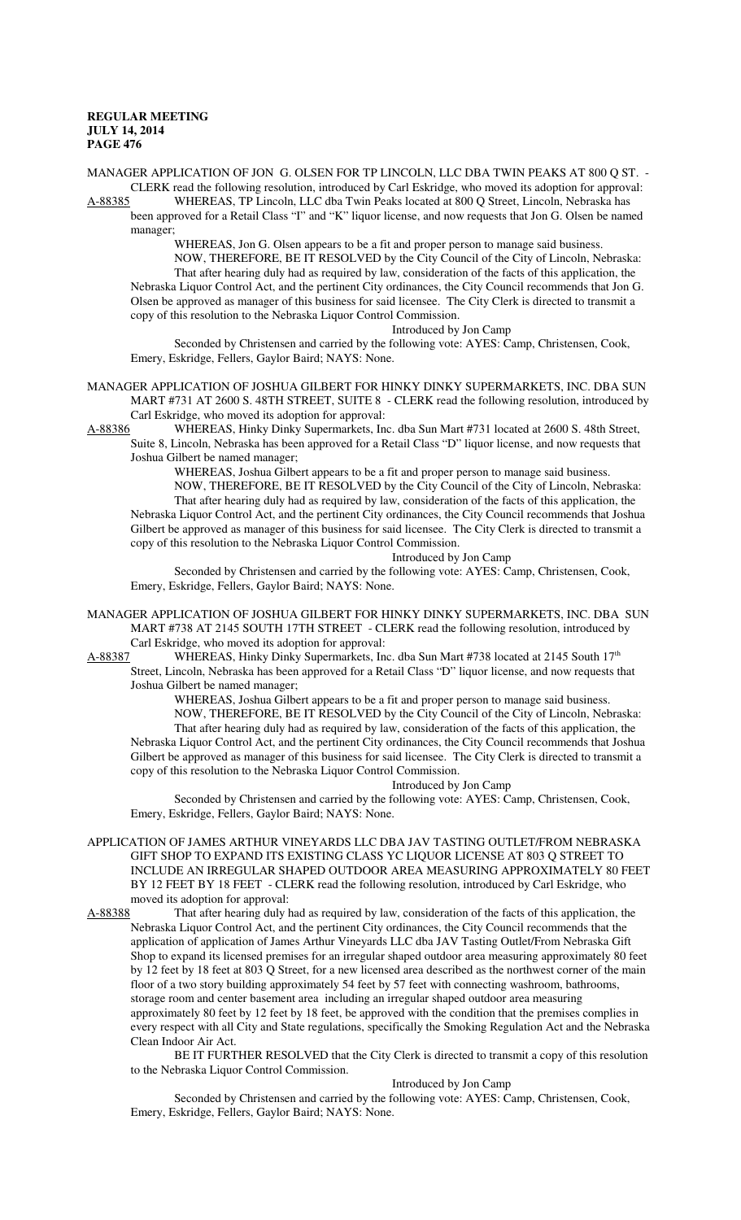MANAGER APPLICATION OF JON G. OLSEN FOR TP LINCOLN, LLC DBA TWIN PEAKS AT 800 Q ST. - CLERK read the following resolution, introduced by Carl Eskridge, who moved its adoption for approval:<br>A-88385 WHEREAS, TP Lincoln, LLC dba Twin Peaks located at 800 O Street, Lincoln, Nebraska has WHEREAS, TP Lincoln, LLC dba Twin Peaks located at 800 Q Street, Lincoln, Nebraska has

been approved for a Retail Class "I" and "K" liquor license, and now requests that Jon G. Olsen be named manager;

WHEREAS, Jon G. Olsen appears to be a fit and proper person to manage said business.

NOW, THEREFORE, BE IT RESOLVED by the City Council of the City of Lincoln, Nebraska: That after hearing duly had as required by law, consideration of the facts of this application, the Nebraska Liquor Control Act, and the pertinent City ordinances, the City Council recommends that Jon G. Olsen be approved as manager of this business for said licensee. The City Clerk is directed to transmit a copy of this resolution to the Nebraska Liquor Control Commission.

Introduced by Jon Camp

Seconded by Christensen and carried by the following vote: AYES: Camp, Christensen, Cook, Emery, Eskridge, Fellers, Gaylor Baird; NAYS: None.

MANAGER APPLICATION OF JOSHUA GILBERT FOR HINKY DINKY SUPERMARKETS, INC. DBA SUN MART #731 AT 2600 S. 48TH STREET, SUITE 8 - CLERK read the following resolution, introduced by Carl Eskridge, who moved its adoption for approval:<br>A-88386 WHEREAS, Hinky Dinky Supermarkets. In

WHEREAS, Hinky Dinky Supermarkets, Inc. dba Sun Mart #731 located at 2600 S. 48th Street, Suite 8, Lincoln, Nebraska has been approved for a Retail Class "D" liquor license, and now requests that Joshua Gilbert be named manager;

WHEREAS, Joshua Gilbert appears to be a fit and proper person to manage said business.

NOW, THEREFORE, BE IT RESOLVED by the City Council of the City of Lincoln, Nebraska: That after hearing duly had as required by law, consideration of the facts of this application, the Nebraska Liquor Control Act, and the pertinent City ordinances, the City Council recommends that Joshua Gilbert be approved as manager of this business for said licensee. The City Clerk is directed to transmit a copy of this resolution to the Nebraska Liquor Control Commission.

Introduced by Jon Camp

Seconded by Christensen and carried by the following vote: AYES: Camp, Christensen, Cook, Emery, Eskridge, Fellers, Gaylor Baird; NAYS: None.

MANAGER APPLICATION OF JOSHUA GILBERT FOR HINKY DINKY SUPERMARKETS, INC. DBA SUN MART #738 AT 2145 SOUTH 17TH STREET - CLERK read the following resolution, introduced by

Carl Eskridge, who moved its adoption for approval:<br>A-88387 WHEREAS, Hinky Dinky Supermarkets, In WHEREAS, Hinky Dinky Supermarkets, Inc. dba Sun Mart #738 located at 2145 South 17<sup>th</sup> Street, Lincoln, Nebraska has been approved for a Retail Class "D" liquor license, and now requests that

copy of this resolution to the Nebraska Liquor Control Commission.

Joshua Gilbert be named manager; WHEREAS, Joshua Gilbert appears to be a fit and proper person to manage said business. NOW, THEREFORE, BE IT RESOLVED by the City Council of the City of Lincoln, Nebraska: That after hearing duly had as required by law, consideration of the facts of this application, the Nebraska Liquor Control Act, and the pertinent City ordinances, the City Council recommends that Joshua Gilbert be approved as manager of this business for said licensee. The City Clerk is directed to transmit a

Introduced by Jon Camp

Seconded by Christensen and carried by the following vote: AYES: Camp, Christensen, Cook, Emery, Eskridge, Fellers, Gaylor Baird; NAYS: None.

APPLICATION OF JAMES ARTHUR VINEYARDS LLC DBA JAV TASTING OUTLET/FROM NEBRASKA GIFT SHOP TO EXPAND ITS EXISTING CLASS YC LIQUOR LICENSE AT 803 Q STREET TO INCLUDE AN IRREGULAR SHAPED OUTDOOR AREA MEASURING APPROXIMATELY 80 FEET BY 12 FEET BY 18 FEET - CLERK read the following resolution, introduced by Carl Eskridge, who moved its adoption for approval:

A-88388 That after hearing duly had as required by law, consideration of the facts of this application, the Nebraska Liquor Control Act, and the pertinent City ordinances, the City Council recommends that the application of application of James Arthur Vineyards LLC dba JAV Tasting Outlet/From Nebraska Gift Shop to expand its licensed premises for an irregular shaped outdoor area measuring approximately 80 feet by 12 feet by 18 feet at 803 Q Street, for a new licensed area described as the northwest corner of the main floor of a two story building approximately 54 feet by 57 feet with connecting washroom, bathrooms, storage room and center basement area including an irregular shaped outdoor area measuring approximately 80 feet by 12 feet by 18 feet, be approved with the condition that the premises complies in every respect with all City and State regulations, specifically the Smoking Regulation Act and the Nebraska Clean Indoor Air Act.

BE IT FURTHER RESOLVED that the City Clerk is directed to transmit a copy of this resolution to the Nebraska Liquor Control Commission.

Introduced by Jon Camp

Seconded by Christensen and carried by the following vote: AYES: Camp, Christensen, Cook, Emery, Eskridge, Fellers, Gaylor Baird; NAYS: None.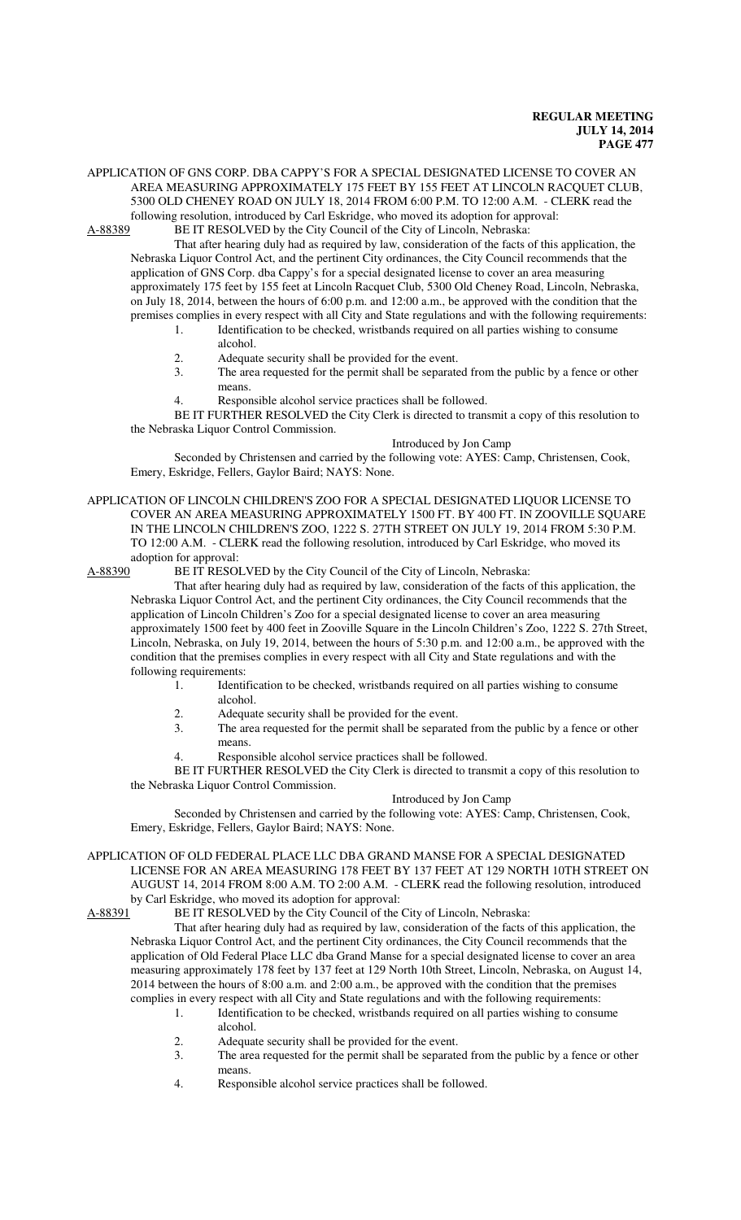APPLICATION OF GNS CORP. DBA CAPPY'S FOR A SPECIAL DESIGNATED LICENSE TO COVER AN AREA MEASURING APPROXIMATELY 175 FEET BY 155 FEET AT LINCOLN RACQUET CLUB, 5300 OLD CHENEY ROAD ON JULY 18, 2014 FROM 6:00 P.M. TO 12:00 A.M. - CLERK read the

following resolution, introduced by Carl Eskridge, who moved its adoption for approval:<br>A-88389 BE IT RESOLVED by the City Council of the City of Lincoln, Nebraska: BE IT RESOLVED by the City Council of the City of Lincoln, Nebraska:

That after hearing duly had as required by law, consideration of the facts of this application, the Nebraska Liquor Control Act, and the pertinent City ordinances, the City Council recommends that the application of GNS Corp. dba Cappy's for a special designated license to cover an area measuring approximately 175 feet by 155 feet at Lincoln Racquet Club, 5300 Old Cheney Road, Lincoln, Nebraska, on July 18, 2014, between the hours of 6:00 p.m. and 12:00 a.m., be approved with the condition that the premises complies in every respect with all City and State regulations and with the following requirements:

- 1. Identification to be checked, wristbands required on all parties wishing to consume alcohol.
- 2. Adequate security shall be provided for the event.
- 3. The area requested for the permit shall be separated from the public by a fence or other means.
- 4. Responsible alcohol service practices shall be followed.

BE IT FURTHER RESOLVED the City Clerk is directed to transmit a copy of this resolution to the Nebraska Liquor Control Commission.

## Introduced by Jon Camp

Seconded by Christensen and carried by the following vote: AYES: Camp, Christensen, Cook, Emery, Eskridge, Fellers, Gaylor Baird; NAYS: None.

APPLICATION OF LINCOLN CHILDREN'S ZOO FOR A SPECIAL DESIGNATED LIQUOR LICENSE TO COVER AN AREA MEASURING APPROXIMATELY 1500 FT. BY 400 FT. IN ZOOVILLE SQUARE IN THE LINCOLN CHILDREN'S ZOO, 1222 S. 27TH STREET ON JULY 19, 2014 FROM 5:30 P.M. TO 12:00 A.M. - CLERK read the following resolution, introduced by Carl Eskridge, who moved its adoption for approval:<br>A-88390 BE IT RESOI

BE IT RESOLVED by the City Council of the City of Lincoln, Nebraska:

That after hearing duly had as required by law, consideration of the facts of this application, the Nebraska Liquor Control Act, and the pertinent City ordinances, the City Council recommends that the application of Lincoln Children's Zoo for a special designated license to cover an area measuring approximately 1500 feet by 400 feet in Zooville Square in the Lincoln Children's Zoo, 1222 S. 27th Street, Lincoln, Nebraska, on July 19, 2014, between the hours of 5:30 p.m. and 12:00 a.m., be approved with the condition that the premises complies in every respect with all City and State regulations and with the following requirements:

- 1. Identification to be checked, wristbands required on all parties wishing to consume alcohol.
- 2. Adequate security shall be provided for the event.
- 3. The area requested for the permit shall be separated from the public by a fence or other means.
- Responsible alcohol service practices shall be followed.

BE IT FURTHER RESOLVED the City Clerk is directed to transmit a copy of this resolution to the Nebraska Liquor Control Commission.

#### Introduced by Jon Camp

Seconded by Christensen and carried by the following vote: AYES: Camp, Christensen, Cook, Emery, Eskridge, Fellers, Gaylor Baird; NAYS: None.

APPLICATION OF OLD FEDERAL PLACE LLC DBA GRAND MANSE FOR A SPECIAL DESIGNATED LICENSE FOR AN AREA MEASURING 178 FEET BY 137 FEET AT 129 NORTH 10TH STREET ON AUGUST 14, 2014 FROM 8:00 A.M. TO 2:00 A.M. - CLERK read the following resolution, introduced by Carl Eskridge, who moved its adoption for approval:<br>A-88391 BE IT RESOLVED by the City Council of the

BE IT RESOLVED by the City Council of the City of Lincoln, Nebraska:

That after hearing duly had as required by law, consideration of the facts of this application, the Nebraska Liquor Control Act, and the pertinent City ordinances, the City Council recommends that the application of Old Federal Place LLC dba Grand Manse for a special designated license to cover an area measuring approximately 178 feet by 137 feet at 129 North 10th Street, Lincoln, Nebraska, on August 14, 2014 between the hours of 8:00 a.m. and 2:00 a.m., be approved with the condition that the premises complies in every respect with all City and State regulations and with the following requirements:

- 1. Identification to be checked, wristbands required on all parties wishing to consume alcohol.
- 2. Adequate security shall be provided for the event.<br>3 The area requested for the permit shall be separate
- The area requested for the permit shall be separated from the public by a fence or other means.
- 4. Responsible alcohol service practices shall be followed.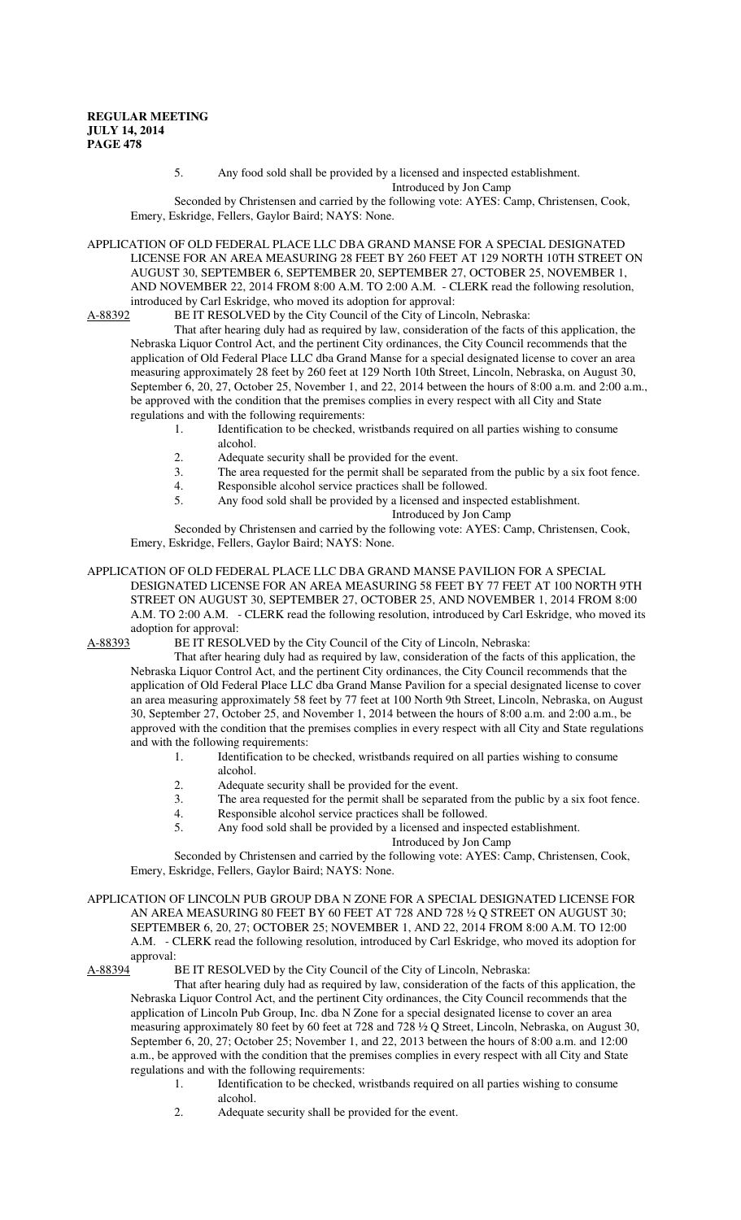## 5. Any food sold shall be provided by a licensed and inspected establishment.

Introduced by Jon Camp

Seconded by Christensen and carried by the following vote: AYES: Camp, Christensen, Cook, Emery, Eskridge, Fellers, Gaylor Baird; NAYS: None.

APPLICATION OF OLD FEDERAL PLACE LLC DBA GRAND MANSE FOR A SPECIAL DESIGNATED LICENSE FOR AN AREA MEASURING 28 FEET BY 260 FEET AT 129 NORTH 10TH STREET ON AUGUST 30, SEPTEMBER 6, SEPTEMBER 20, SEPTEMBER 27, OCTOBER 25, NOVEMBER 1, AND NOVEMBER 22, 2014 FROM 8:00 A.M. TO 2:00 A.M. - CLERK read the following resolution, introduced by Carl Eskridge, who moved its adoption for approval:<br>A-88392 BE IT RESOLVED by the City Council of the City of Line

BE IT RESOLVED by the City Council of the City of Lincoln, Nebraska:

That after hearing duly had as required by law, consideration of the facts of this application, the Nebraska Liquor Control Act, and the pertinent City ordinances, the City Council recommends that the application of Old Federal Place LLC dba Grand Manse for a special designated license to cover an area measuring approximately 28 feet by 260 feet at 129 North 10th Street, Lincoln, Nebraska, on August 30, September 6, 20, 27, October 25, November 1, and 22, 2014 between the hours of 8:00 a.m. and 2:00 a.m., be approved with the condition that the premises complies in every respect with all City and State regulations and with the following requirements:

- 1. Identification to be checked, wristbands required on all parties wishing to consume alcohol.
- 2. Adequate security shall be provided for the event.<br>3. The area requested for the permit shall be separate
- 3. The area requested for the permit shall be separated from the public by a six foot fence.<br>4. Responsible alcohol service practices shall be followed.
- 4. Responsible alcohol service practices shall be followed.<br>5. Any food sold shall be provided by a licensed and insper
	- 5. Any food sold shall be provided by a licensed and inspected establishment.

Introduced by Jon Camp

Seconded by Christensen and carried by the following vote: AYES: Camp, Christensen, Cook, Emery, Eskridge, Fellers, Gaylor Baird; NAYS: None.

## APPLICATION OF OLD FEDERAL PLACE LLC DBA GRAND MANSE PAVILION FOR A SPECIAL DESIGNATED LICENSE FOR AN AREA MEASURING 58 FEET BY 77 FEET AT 100 NORTH 9TH STREET ON AUGUST 30, SEPTEMBER 27, OCTOBER 25, AND NOVEMBER 1, 2014 FROM 8:00 A.M. TO 2:00 A.M. - CLERK read the following resolution, introduced by Carl Eskridge, who moved its adoption for approval:

A-88393 BE IT RESOLVED by the City Council of the City of Lincoln, Nebraska:

That after hearing duly had as required by law, consideration of the facts of this application, the Nebraska Liquor Control Act, and the pertinent City ordinances, the City Council recommends that the application of Old Federal Place LLC dba Grand Manse Pavilion for a special designated license to cover an area measuring approximately 58 feet by 77 feet at 100 North 9th Street, Lincoln, Nebraska, on August 30, September 27, October 25, and November 1, 2014 between the hours of 8:00 a.m. and 2:00 a.m., be approved with the condition that the premises complies in every respect with all City and State regulations and with the following requirements:

- 1. Identification to be checked, wristbands required on all parties wishing to consume
	- alcohol.
- 2. Adequate security shall be provided for the event.<br>3. The area requested for the permit shall be separate
- The area requested for the permit shall be separated from the public by a six foot fence.
- 4. Responsible alcohol service practices shall be followed.<br>5. Any food sold shall be provided by a licensed and insper
- 5. Any food sold shall be provided by a licensed and inspected establishment.

Introduced by Jon Camp

Seconded by Christensen and carried by the following vote: AYES: Camp, Christensen, Cook, Emery, Eskridge, Fellers, Gaylor Baird; NAYS: None.

APPLICATION OF LINCOLN PUB GROUP DBA N ZONE FOR A SPECIAL DESIGNATED LICENSE FOR AN AREA MEASURING 80 FEET BY 60 FEET AT 728 AND 728 ½ Q STREET ON AUGUST 30; SEPTEMBER 6, 20, 27; OCTOBER 25; NOVEMBER 1, AND 22, 2014 FROM 8:00 A.M. TO 12:00 A.M. - CLERK read the following resolution, introduced by Carl Eskridge, who moved its adoption for approval:<br>A-88394 B

BE IT RESOLVED by the City Council of the City of Lincoln, Nebraska:

That after hearing duly had as required by law, consideration of the facts of this application, the Nebraska Liquor Control Act, and the pertinent City ordinances, the City Council recommends that the application of Lincoln Pub Group, Inc. dba N Zone for a special designated license to cover an area measuring approximately 80 feet by 60 feet at 728 and 728 ½ Q Street, Lincoln, Nebraska, on August 30, September 6, 20, 27; October 25; November 1, and 22, 2013 between the hours of 8:00 a.m. and 12:00 a.m., be approved with the condition that the premises complies in every respect with all City and State regulations and with the following requirements:

- 1. Identification to be checked, wristbands required on all parties wishing to consume alcohol.
- 2. Adequate security shall be provided for the event.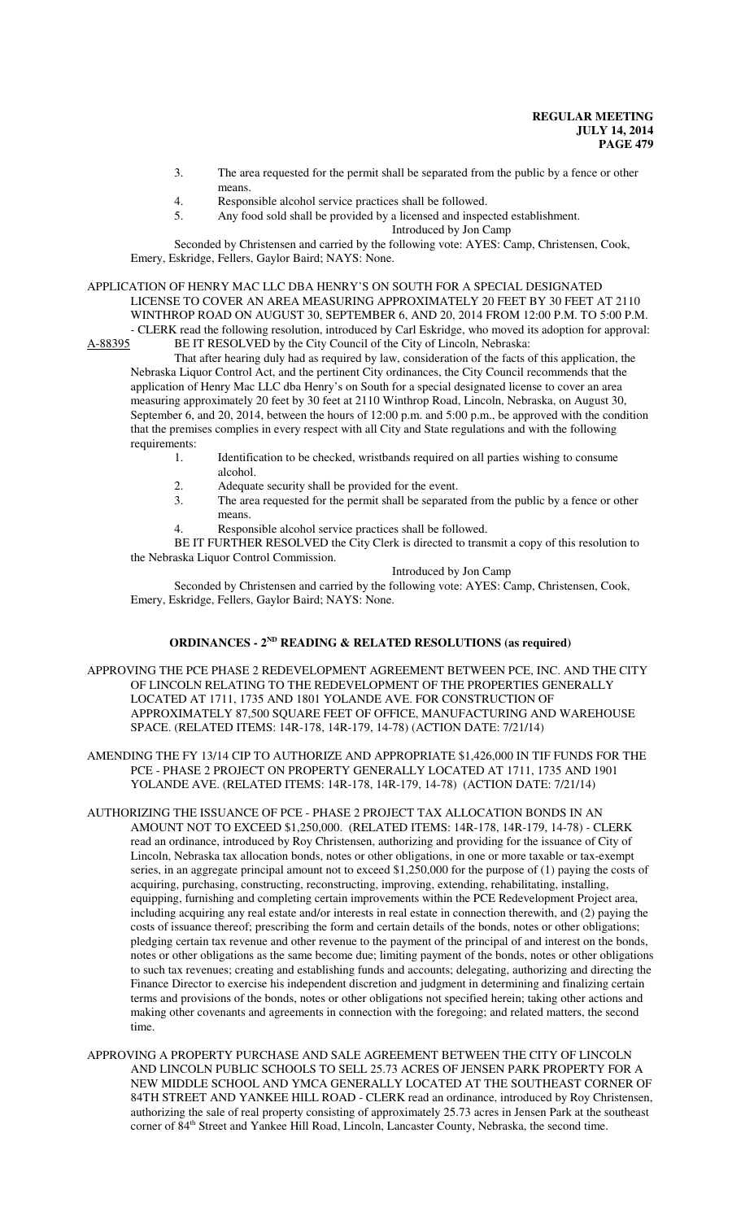- 3. The area requested for the permit shall be separated from the public by a fence or other means.
- 4. Responsible alcohol service practices shall be followed.<br>5. Any food sold shall be provided by a licensed and inspea
- Any food sold shall be provided by a licensed and inspected establishment.

Introduced by Jon Camp

Seconded by Christensen and carried by the following vote: AYES: Camp, Christensen, Cook, Emery, Eskridge, Fellers, Gaylor Baird; NAYS: None.

APPLICATION OF HENRY MAC LLC DBA HENRY'S ON SOUTH FOR A SPECIAL DESIGNATED LICENSE TO COVER AN AREA MEASURING APPROXIMATELY 20 FEET BY 30 FEET AT 2110 WINTHROP ROAD ON AUGUST 30, SEPTEMBER 6, AND 20, 2014 FROM 12:00 P.M. TO 5:00 P.M. - CLERK read the following resolution, introduced by Carl Eskridge, who moved its adoption for approval:<br>A-88395 BE IT RESOLVED by the City Council of the City of Lincoln, Nebraska:

BE IT RESOLVED by the City Council of the City of Lincoln, Nebraska: That after hearing duly had as required by law, consideration of the facts of this application, the Nebraska Liquor Control Act, and the pertinent City ordinances, the City Council recommends that the application of Henry Mac LLC dba Henry's on South for a special designated license to cover an area measuring approximately 20 feet by 30 feet at 2110 Winthrop Road, Lincoln, Nebraska, on August 30, September 6, and 20, 2014, between the hours of 12:00 p.m. and 5:00 p.m., be approved with the condition that the premises complies in every respect with all City and State regulations and with the following requirements:

- 1. Identification to be checked, wristbands required on all parties wishing to consume alcohol.
- 2. Adequate security shall be provided for the event.<br>3. The area requested for the permit shall be separate
- The area requested for the permit shall be separated from the public by a fence or other means.
- Responsible alcohol service practices shall be followed.

BE IT FURTHER RESOLVED the City Clerk is directed to transmit a copy of this resolution to the Nebraska Liquor Control Commission.

Introduced by Jon Camp

Seconded by Christensen and carried by the following vote: AYES: Camp, Christensen, Cook, Emery, Eskridge, Fellers, Gaylor Baird; NAYS: None.

## **ORDINANCES - 2ND READING & RELATED RESOLUTIONS (as required)**

APPROVING THE PCE PHASE 2 REDEVELOPMENT AGREEMENT BETWEEN PCE, INC. AND THE CITY OF LINCOLN RELATING TO THE REDEVELOPMENT OF THE PROPERTIES GENERALLY LOCATED AT 1711, 1735 AND 1801 YOLANDE AVE. FOR CONSTRUCTION OF APPROXIMATELY 87,500 SQUARE FEET OF OFFICE, MANUFACTURING AND WAREHOUSE SPACE. (RELATED ITEMS: 14R-178, 14R-179, 14-78) (ACTION DATE: 7/21/14)

AMENDING THE FY 13/14 CIP TO AUTHORIZE AND APPROPRIATE \$1,426,000 IN TIF FUNDS FOR THE PCE - PHASE 2 PROJECT ON PROPERTY GENERALLY LOCATED AT 1711, 1735 AND 1901 YOLANDE AVE. (RELATED ITEMS: 14R-178, 14R-179, 14-78) (ACTION DATE: 7/21/14)

- AUTHORIZING THE ISSUANCE OF PCE PHASE 2 PROJECT TAX ALLOCATION BONDS IN AN AMOUNT NOT TO EXCEED \$1,250,000. (RELATED ITEMS: 14R-178, 14R-179, 14-78) - CLERK read an ordinance, introduced by Roy Christensen, authorizing and providing for the issuance of City of Lincoln, Nebraska tax allocation bonds, notes or other obligations, in one or more taxable or tax-exempt series, in an aggregate principal amount not to exceed \$1,250,000 for the purpose of (1) paying the costs of acquiring, purchasing, constructing, reconstructing, improving, extending, rehabilitating, installing, equipping, furnishing and completing certain improvements within the PCE Redevelopment Project area, including acquiring any real estate and/or interests in real estate in connection therewith, and (2) paying the costs of issuance thereof; prescribing the form and certain details of the bonds, notes or other obligations; pledging certain tax revenue and other revenue to the payment of the principal of and interest on the bonds, notes or other obligations as the same become due; limiting payment of the bonds, notes or other obligations to such tax revenues; creating and establishing funds and accounts; delegating, authorizing and directing the Finance Director to exercise his independent discretion and judgment in determining and finalizing certain terms and provisions of the bonds, notes or other obligations not specified herein; taking other actions and making other covenants and agreements in connection with the foregoing; and related matters, the second time.
- APPROVING A PROPERTY PURCHASE AND SALE AGREEMENT BETWEEN THE CITY OF LINCOLN AND LINCOLN PUBLIC SCHOOLS TO SELL 25.73 ACRES OF JENSEN PARK PROPERTY FOR A NEW MIDDLE SCHOOL AND YMCA GENERALLY LOCATED AT THE SOUTHEAST CORNER OF 84TH STREET AND YANKEE HILL ROAD - CLERK read an ordinance, introduced by Roy Christensen, authorizing the sale of real property consisting of approximately 25.73 acres in Jensen Park at the southeast corner of 84<sup>th</sup> Street and Yankee Hill Road, Lincoln, Lancaster County, Nebraska, the second time.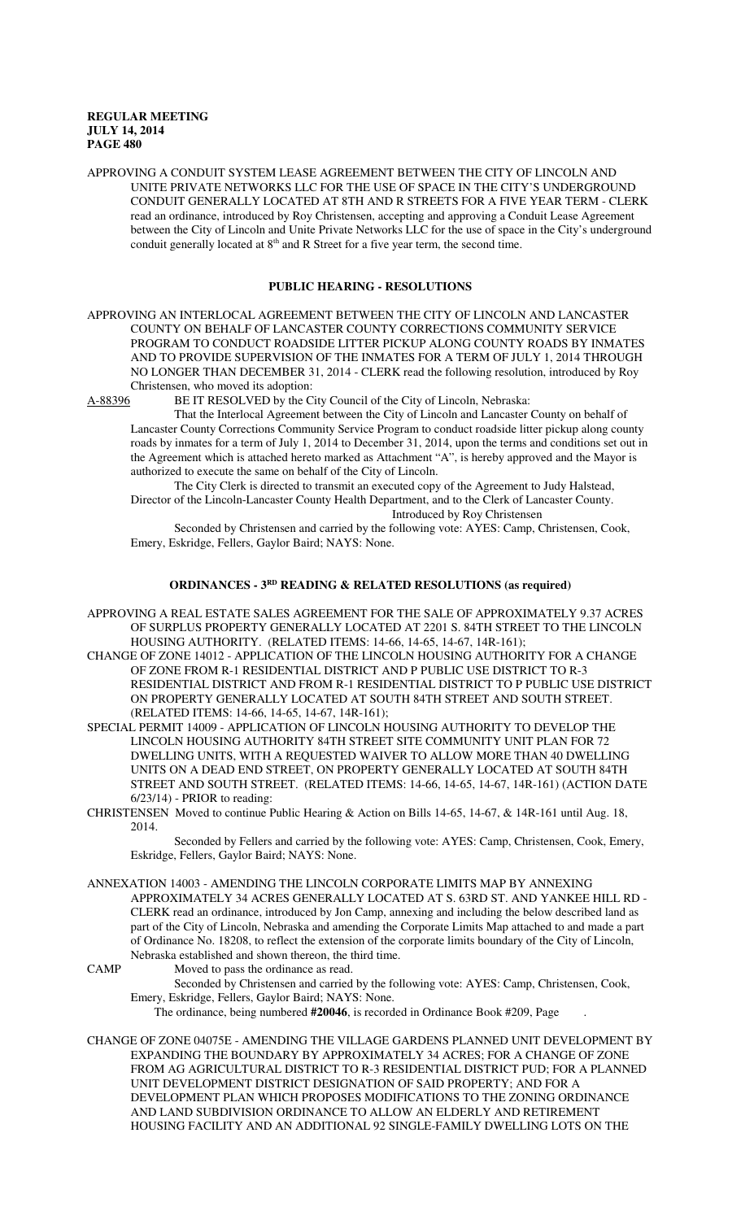APPROVING A CONDUIT SYSTEM LEASE AGREEMENT BETWEEN THE CITY OF LINCOLN AND UNITE PRIVATE NETWORKS LLC FOR THE USE OF SPACE IN THE CITY'S UNDERGROUND CONDUIT GENERALLY LOCATED AT 8TH AND R STREETS FOR A FIVE YEAR TERM - CLERK read an ordinance, introduced by Roy Christensen, accepting and approving a Conduit Lease Agreement between the City of Lincoln and Unite Private Networks LLC for the use of space in the City's underground conduit generally located at  $8<sup>th</sup>$  and R Street for a five year term, the second time.

## **PUBLIC HEARING - RESOLUTIONS**

APPROVING AN INTERLOCAL AGREEMENT BETWEEN THE CITY OF LINCOLN AND LANCASTER COUNTY ON BEHALF OF LANCASTER COUNTY CORRECTIONS COMMUNITY SERVICE PROGRAM TO CONDUCT ROADSIDE LITTER PICKUP ALONG COUNTY ROADS BY INMATES AND TO PROVIDE SUPERVISION OF THE INMATES FOR A TERM OF JULY 1, 2014 THROUGH NO LONGER THAN DECEMBER 31, 2014 - CLERK read the following resolution, introduced by Roy Christensen, who moved its adoption:<br>A-88396 BE IT RESOLVED by the C

BE IT RESOLVED by the City Council of the City of Lincoln, Nebraska:

That the Interlocal Agreement between the City of Lincoln and Lancaster County on behalf of Lancaster County Corrections Community Service Program to conduct roadside litter pickup along county roads by inmates for a term of July 1, 2014 to December 31, 2014, upon the terms and conditions set out in the Agreement which is attached hereto marked as Attachment "A", is hereby approved and the Mayor is authorized to execute the same on behalf of the City of Lincoln.

The City Clerk is directed to transmit an executed copy of the Agreement to Judy Halstead, Director of the Lincoln-Lancaster County Health Department, and to the Clerk of Lancaster County. Introduced by Roy Christensen

Seconded by Christensen and carried by the following vote: AYES: Camp, Christensen, Cook, Emery, Eskridge, Fellers, Gaylor Baird; NAYS: None.

## **ORDINANCES - 3RD READING & RELATED RESOLUTIONS (as required)**

- APPROVING A REAL ESTATE SALES AGREEMENT FOR THE SALE OF APPROXIMATELY 9.37 ACRES OF SURPLUS PROPERTY GENERALLY LOCATED AT 2201 S. 84TH STREET TO THE LINCOLN HOUSING AUTHORITY. (RELATED ITEMS: 14-66, 14-65, 14-67, 14R-161);
- CHANGE OF ZONE 14012 APPLICATION OF THE LINCOLN HOUSING AUTHORITY FOR A CHANGE OF ZONE FROM R-1 RESIDENTIAL DISTRICT AND P PUBLIC USE DISTRICT TO R-3 RESIDENTIAL DISTRICT AND FROM R-1 RESIDENTIAL DISTRICT TO P PUBLIC USE DISTRICT ON PROPERTY GENERALLY LOCATED AT SOUTH 84TH STREET AND SOUTH STREET. (RELATED ITEMS: 14-66, 14-65, 14-67, 14R-161);
- SPECIAL PERMIT 14009 APPLICATION OF LINCOLN HOUSING AUTHORITY TO DEVELOP THE LINCOLN HOUSING AUTHORITY 84TH STREET SITE COMMUNITY UNIT PLAN FOR 72 DWELLING UNITS, WITH A REQUESTED WAIVER TO ALLOW MORE THAN 40 DWELLING UNITS ON A DEAD END STREET, ON PROPERTY GENERALLY LOCATED AT SOUTH 84TH STREET AND SOUTH STREET. (RELATED ITEMS: 14-66, 14-65, 14-67, 14R-161) (ACTION DATE 6/23/14) - PRIOR to reading:
- CHRISTENSEN Moved to continue Public Hearing & Action on Bills 14-65, 14-67, & 14R-161 until Aug. 18, 2014.

Seconded by Fellers and carried by the following vote: AYES: Camp, Christensen, Cook, Emery, Eskridge, Fellers, Gaylor Baird; NAYS: None.

ANNEXATION 14003 - AMENDING THE LINCOLN CORPORATE LIMITS MAP BY ANNEXING APPROXIMATELY 34 ACRES GENERALLY LOCATED AT S. 63RD ST. AND YANKEE HILL RD - CLERK read an ordinance, introduced by Jon Camp, annexing and including the below described land as part of the City of Lincoln, Nebraska and amending the Corporate Limits Map attached to and made a part of Ordinance No. 18208, to reflect the extension of the corporate limits boundary of the City of Lincoln, Nebraska established and shown thereon, the third time.

CAMP Moved to pass the ordinance as read.

Seconded by Christensen and carried by the following vote: AYES: Camp, Christensen, Cook, Emery, Eskridge, Fellers, Gaylor Baird; NAYS: None.

The ordinance, being numbered **#20046**, is recorded in Ordinance Book #209, Page .

CHANGE OF ZONE 04075E - AMENDING THE VILLAGE GARDENS PLANNED UNIT DEVELOPMENT BY EXPANDING THE BOUNDARY BY APPROXIMATELY 34 ACRES; FOR A CHANGE OF ZONE FROM AG AGRICULTURAL DISTRICT TO R-3 RESIDENTIAL DISTRICT PUD; FOR A PLANNED UNIT DEVELOPMENT DISTRICT DESIGNATION OF SAID PROPERTY; AND FOR A DEVELOPMENT PLAN WHICH PROPOSES MODIFICATIONS TO THE ZONING ORDINANCE AND LAND SUBDIVISION ORDINANCE TO ALLOW AN ELDERLY AND RETIREMENT HOUSING FACILITY AND AN ADDITIONAL 92 SINGLE-FAMILY DWELLING LOTS ON THE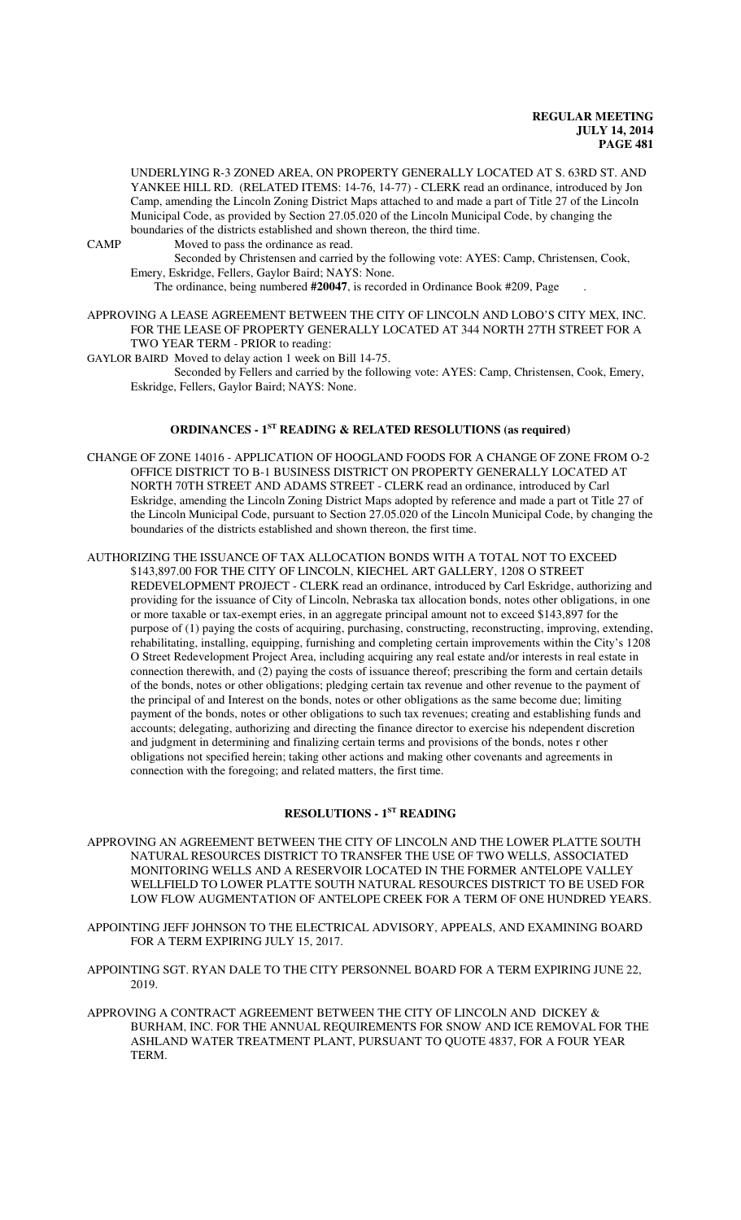UNDERLYING R-3 ZONED AREA, ON PROPERTY GENERALLY LOCATED AT S. 63RD ST. AND YANKEE HILL RD. (RELATED ITEMS: 14-76, 14-77) - CLERK read an ordinance, introduced by Jon Camp, amending the Lincoln Zoning District Maps attached to and made a part of Title 27 of the Lincoln Municipal Code, as provided by Section 27.05.020 of the Lincoln Municipal Code, by changing the boundaries of the districts established and shown thereon, the third time.

CAMP Moved to pass the ordinance as read.

Seconded by Christensen and carried by the following vote: AYES: Camp, Christensen, Cook, Emery, Eskridge, Fellers, Gaylor Baird; NAYS: None.

The ordinance, being numbered **#20047**, is recorded in Ordinance Book #209, Page .

APPROVING A LEASE AGREEMENT BETWEEN THE CITY OF LINCOLN AND LOBO'S CITY MEX, INC. FOR THE LEASE OF PROPERTY GENERALLY LOCATED AT 344 NORTH 27TH STREET FOR A TWO YEAR TERM - PRIOR to reading:

GAYLOR BAIRD Moved to delay action 1 week on Bill 14-75.

Seconded by Fellers and carried by the following vote: AYES: Camp, Christensen, Cook, Emery, Eskridge, Fellers, Gaylor Baird; NAYS: None.

# **ORDINANCES - 1ST READING & RELATED RESOLUTIONS (as required)**

CHANGE OF ZONE 14016 - APPLICATION OF HOOGLAND FOODS FOR A CHANGE OF ZONE FROM O-2 OFFICE DISTRICT TO B-1 BUSINESS DISTRICT ON PROPERTY GENERALLY LOCATED AT NORTH 70TH STREET AND ADAMS STREET - CLERK read an ordinance, introduced by Carl Eskridge, amending the Lincoln Zoning District Maps adopted by reference and made a part ot Title 27 of the Lincoln Municipal Code, pursuant to Section 27.05.020 of the Lincoln Municipal Code, by changing the boundaries of the districts established and shown thereon, the first time.

#### AUTHORIZING THE ISSUANCE OF TAX ALLOCATION BONDS WITH A TOTAL NOT TO EXCEED \$143,897.00 FOR THE CITY OF LINCOLN, KIECHEL ART GALLERY, 1208 O STREET

REDEVELOPMENT PROJECT - CLERK read an ordinance, introduced by Carl Eskridge, authorizing and providing for the issuance of City of Lincoln, Nebraska tax allocation bonds, notes other obligations, in one or more taxable or tax-exempt eries, in an aggregate principal amount not to exceed \$143,897 for the purpose of (1) paying the costs of acquiring, purchasing, constructing, reconstructing, improving, extending, rehabilitating, installing, equipping, furnishing and completing certain improvements within the City's 1208 O Street Redevelopment Project Area, including acquiring any real estate and/or interests in real estate in connection therewith, and (2) paying the costs of issuance thereof; prescribing the form and certain details of the bonds, notes or other obligations; pledging certain tax revenue and other revenue to the payment of the principal of and Interest on the bonds, notes or other obligations as the same become due; limiting payment of the bonds, notes or other obligations to such tax revenues; creating and establishing funds and accounts; delegating, authorizing and directing the finance director to exercise his ndependent discretion and judgment in determining and finalizing certain terms and provisions of the bonds, notes r other obligations not specified herein; taking other actions and making other covenants and agreements in connection with the foregoing; and related matters, the first time.

## **RESOLUTIONS - 1ST READING**

- APPROVING AN AGREEMENT BETWEEN THE CITY OF LINCOLN AND THE LOWER PLATTE SOUTH NATURAL RESOURCES DISTRICT TO TRANSFER THE USE OF TWO WELLS, ASSOCIATED MONITORING WELLS AND A RESERVOIR LOCATED IN THE FORMER ANTELOPE VALLEY WELLFIELD TO LOWER PLATTE SOUTH NATURAL RESOURCES DISTRICT TO BE USED FOR LOW FLOW AUGMENTATION OF ANTELOPE CREEK FOR A TERM OF ONE HUNDRED YEARS.
- APPOINTING JEFF JOHNSON TO THE ELECTRICAL ADVISORY, APPEALS, AND EXAMINING BOARD FOR A TERM EXPIRING JULY 15, 2017.
- APPOINTING SGT. RYAN DALE TO THE CITY PERSONNEL BOARD FOR A TERM EXPIRING JUNE 22, 2019.
- APPROVING A CONTRACT AGREEMENT BETWEEN THE CITY OF LINCOLN AND DICKEY  $\&$ BURHAM, INC. FOR THE ANNUAL REQUIREMENTS FOR SNOW AND ICE REMOVAL FOR THE ASHLAND WATER TREATMENT PLANT, PURSUANT TO QUOTE 4837, FOR A FOUR YEAR TERM.